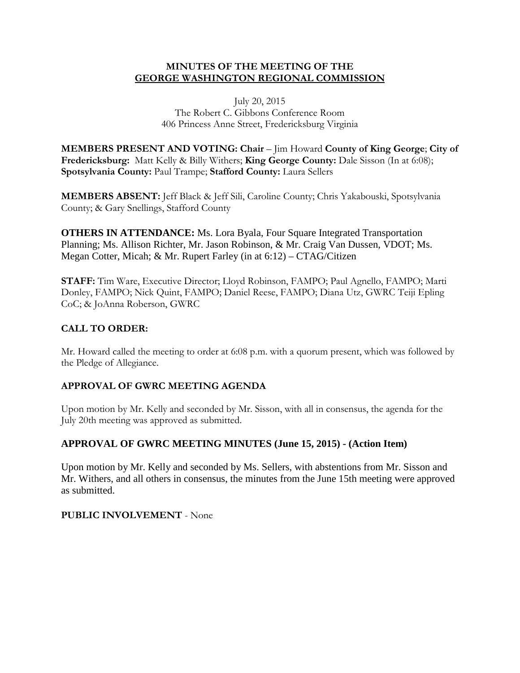## **MINUTES OF THE MEETING OF THE GEORGE WASHINGTON REGIONAL COMMISSION**

#### July 20, 2015 The Robert C. Gibbons Conference Room 406 Princess Anne Street, Fredericksburg Virginia

**MEMBERS PRESENT AND VOTING: Chair** – Jim Howard **County of King George**; **City of Fredericksburg:** Matt Kelly & Billy Withers; **King George County:** Dale Sisson (In at 6:08); **Spotsylvania County:** Paul Trampe; **Stafford County:** Laura Sellers

**MEMBERS ABSENT:** Jeff Black & Jeff Sili, Caroline County; Chris Yakabouski, Spotsylvania County; & Gary Snellings, Stafford County

**OTHERS IN ATTENDANCE:** Ms. Lora Byala, Four Square Integrated Transportation Planning; Ms. Allison Richter, Mr. Jason Robinson, & Mr. Craig Van Dussen, VDOT; Ms. Megan Cotter, Micah; & Mr. Rupert Farley (in at 6:12) – CTAG/Citizen

**STAFF:** Tim Ware, Executive Director; Lloyd Robinson, FAMPO; Paul Agnello, FAMPO; Marti Donley, FAMPO; Nick Quint, FAMPO; Daniel Reese, FAMPO; Diana Utz, GWRC Teiji Epling CoC; & JoAnna Roberson, GWRC

# **CALL TO ORDER:**

Mr. Howard called the meeting to order at 6:08 p.m. with a quorum present, which was followed by the Pledge of Allegiance.

# **APPROVAL OF GWRC MEETING AGENDA**

Upon motion by Mr. Kelly and seconded by Mr. Sisson, with all in consensus, the agenda for the July 20th meeting was approved as submitted.

### **APPROVAL OF GWRC MEETING MINUTES (June 15, 2015) - (Action Item)**

Upon motion by Mr. Kelly and seconded by Ms. Sellers, with abstentions from Mr. Sisson and Mr. Withers, and all others in consensus, the minutes from the June 15th meeting were approved as submitted.

### **PUBLIC INVOLVEMENT** - None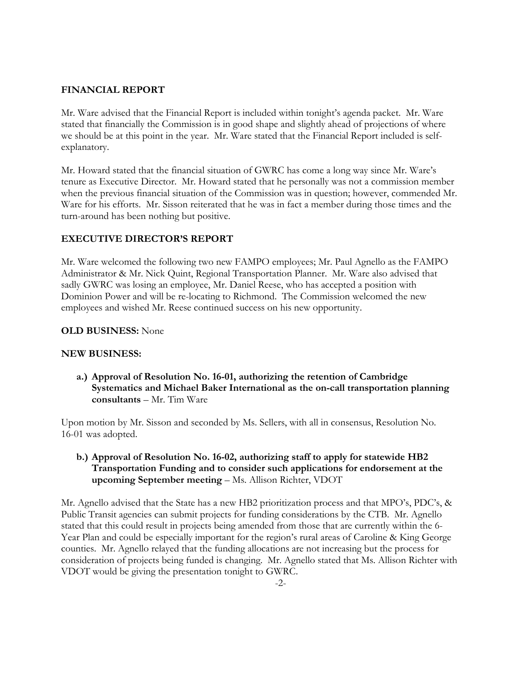#### **FINANCIAL REPORT**

Mr. Ware advised that the Financial Report is included within tonight's agenda packet. Mr. Ware stated that financially the Commission is in good shape and slightly ahead of projections of where we should be at this point in the year. Mr. Ware stated that the Financial Report included is selfexplanatory.

Mr. Howard stated that the financial situation of GWRC has come a long way since Mr. Ware's tenure as Executive Director. Mr. Howard stated that he personally was not a commission member when the previous financial situation of the Commission was in question; however, commended Mr. Ware for his efforts. Mr. Sisson reiterated that he was in fact a member during those times and the turn-around has been nothing but positive.

### **EXECUTIVE DIRECTOR'S REPORT**

Mr. Ware welcomed the following two new FAMPO employees; Mr. Paul Agnello as the FAMPO Administrator & Mr. Nick Quint, Regional Transportation Planner. Mr. Ware also advised that sadly GWRC was losing an employee, Mr. Daniel Reese, who has accepted a position with Dominion Power and will be re-locating to Richmond. The Commission welcomed the new employees and wished Mr. Reese continued success on his new opportunity.

#### **OLD BUSINESS:** None

#### **NEW BUSINESS:**

**a.) Approval of Resolution No. 16-01, authorizing the retention of Cambridge Systematics and Michael Baker International as the on-call transportation planning consultants** – Mr. Tim Ware

Upon motion by Mr. Sisson and seconded by Ms. Sellers, with all in consensus, Resolution No. 16-01 was adopted.

### **b.) Approval of Resolution No. 16-02, authorizing staff to apply for statewide HB2 Transportation Funding and to consider such applications for endorsement at the upcoming September meeting** – Ms. Allison Richter, VDOT

Mr. Agnello advised that the State has a new HB2 prioritization process and that MPO's, PDC's, & Public Transit agencies can submit projects for funding considerations by the CTB. Mr. Agnello stated that this could result in projects being amended from those that are currently within the 6- Year Plan and could be especially important for the region's rural areas of Caroline & King George counties. Mr. Agnello relayed that the funding allocations are not increasing but the process for consideration of projects being funded is changing. Mr. Agnello stated that Ms. Allison Richter with VDOT would be giving the presentation tonight to GWRC.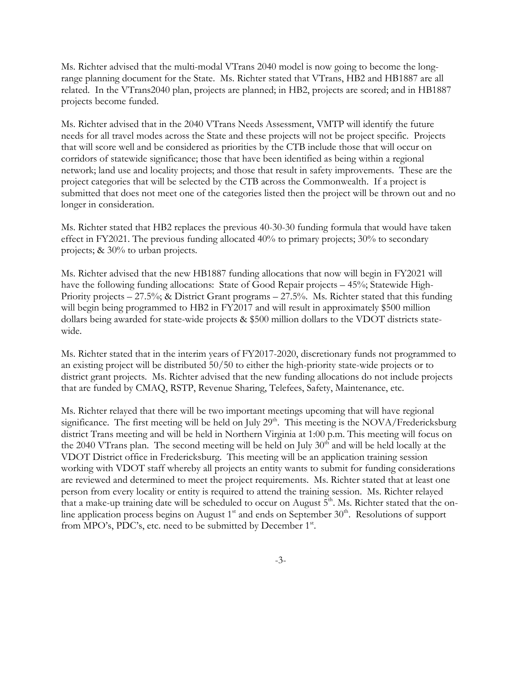Ms. Richter advised that the multi-modal VTrans 2040 model is now going to become the longrange planning document for the State. Ms. Richter stated that VTrans, HB2 and HB1887 are all related. In the VTrans2040 plan, projects are planned; in HB2, projects are scored; and in HB1887 projects become funded.

Ms. Richter advised that in the 2040 VTrans Needs Assessment, VMTP will identify the future needs for all travel modes across the State and these projects will not be project specific. Projects that will score well and be considered as priorities by the CTB include those that will occur on corridors of statewide significance; those that have been identified as being within a regional network; land use and locality projects; and those that result in safety improvements. These are the project categories that will be selected by the CTB across the Commonwealth. If a project is submitted that does not meet one of the categories listed then the project will be thrown out and no longer in consideration.

Ms. Richter stated that HB2 replaces the previous 40-30-30 funding formula that would have taken effect in FY2021. The previous funding allocated 40% to primary projects; 30% to secondary projects; & 30% to urban projects.

Ms. Richter advised that the new HB1887 funding allocations that now will begin in FY2021 will have the following funding allocations: State of Good Repair projects - 45%; Statewide High-Priority projects – 27.5%; & District Grant programs – 27.5%. Ms. Richter stated that this funding will begin being programmed to HB2 in FY2017 and will result in approximately \$500 million dollars being awarded for state-wide projects & \$500 million dollars to the VDOT districts statewide.

Ms. Richter stated that in the interim years of FY2017-2020, discretionary funds not programmed to an existing project will be distributed 50/50 to either the high-priority state-wide projects or to district grant projects. Ms. Richter advised that the new funding allocations do not include projects that are funded by CMAQ, RSTP, Revenue Sharing, Telefees, Safety, Maintenance, etc.

Ms. Richter relayed that there will be two important meetings upcoming that will have regional significance. The first meeting will be held on July  $29<sup>th</sup>$ . This meeting is the NOVA/Fredericksburg district Trans meeting and will be held in Northern Virginia at 1:00 p.m. This meeting will focus on the 2040 VTrans plan. The second meeting will be held on July 30<sup>th</sup> and will be held locally at the VDOT District office in Fredericksburg. This meeting will be an application training session working with VDOT staff whereby all projects an entity wants to submit for funding considerations are reviewed and determined to meet the project requirements. Ms. Richter stated that at least one person from every locality or entity is required to attend the training session. Ms. Richter relayed that a make-up training date will be scheduled to occur on August  $5<sup>th</sup>$ . Ms. Richter stated that the online application process begins on August  $1<sup>st</sup>$  and ends on September  $30<sup>th</sup>$ . Resolutions of support from MPO's, PDC's, etc. need to be submitted by December 1<sup>st</sup>.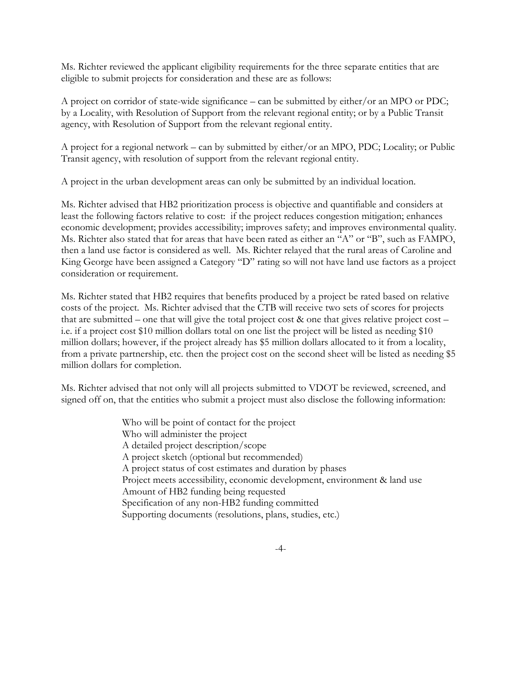Ms. Richter reviewed the applicant eligibility requirements for the three separate entities that are eligible to submit projects for consideration and these are as follows:

A project on corridor of state-wide significance – can be submitted by either/or an MPO or PDC; by a Locality, with Resolution of Support from the relevant regional entity; or by a Public Transit agency, with Resolution of Support from the relevant regional entity.

A project for a regional network – can by submitted by either/or an MPO, PDC; Locality; or Public Transit agency, with resolution of support from the relevant regional entity.

A project in the urban development areas can only be submitted by an individual location.

Ms. Richter advised that HB2 prioritization process is objective and quantifiable and considers at least the following factors relative to cost: if the project reduces congestion mitigation; enhances economic development; provides accessibility; improves safety; and improves environmental quality. Ms. Richter also stated that for areas that have been rated as either an "A" or "B", such as FAMPO, then a land use factor is considered as well. Ms. Richter relayed that the rural areas of Caroline and King George have been assigned a Category "D" rating so will not have land use factors as a project consideration or requirement.

Ms. Richter stated that HB2 requires that benefits produced by a project be rated based on relative costs of the project. Ms. Richter advised that the CTB will receive two sets of scores for projects that are submitted – one that will give the total project cost & one that gives relative project cost – i.e. if a project cost \$10 million dollars total on one list the project will be listed as needing \$10 million dollars; however, if the project already has \$5 million dollars allocated to it from a locality, from a private partnership, etc. then the project cost on the second sheet will be listed as needing \$5 million dollars for completion.

Ms. Richter advised that not only will all projects submitted to VDOT be reviewed, screened, and signed off on, that the entities who submit a project must also disclose the following information:

> Who will be point of contact for the project Who will administer the project A detailed project description/scope A project sketch (optional but recommended) A project status of cost estimates and duration by phases Project meets accessibility, economic development, environment & land use Amount of HB2 funding being requested Specification of any non-HB2 funding committed Supporting documents (resolutions, plans, studies, etc.)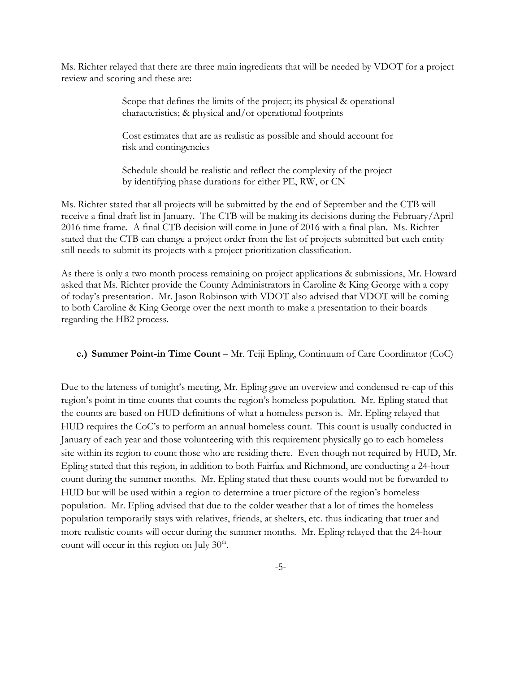Ms. Richter relayed that there are three main ingredients that will be needed by VDOT for a project review and scoring and these are:

> Scope that defines the limits of the project; its physical & operational characteristics; & physical and/or operational footprints

> Cost estimates that are as realistic as possible and should account for risk and contingencies

> Schedule should be realistic and reflect the complexity of the project by identifying phase durations for either PE, RW, or CN

Ms. Richter stated that all projects will be submitted by the end of September and the CTB will receive a final draft list in January. The CTB will be making its decisions during the February/April 2016 time frame. A final CTB decision will come in June of 2016 with a final plan. Ms. Richter stated that the CTB can change a project order from the list of projects submitted but each entity still needs to submit its projects with a project prioritization classification.

As there is only a two month process remaining on project applications & submissions, Mr. Howard asked that Ms. Richter provide the County Administrators in Caroline & King George with a copy of today's presentation. Mr. Jason Robinson with VDOT also advised that VDOT will be coming to both Caroline & King George over the next month to make a presentation to their boards regarding the HB2 process.

**c.) Summer Point-in Time Count** – Mr. Teiji Epling, Continuum of Care Coordinator (CoC)

Due to the lateness of tonight's meeting, Mr. Epling gave an overview and condensed re-cap of this region's point in time counts that counts the region's homeless population. Mr. Epling stated that the counts are based on HUD definitions of what a homeless person is. Mr. Epling relayed that HUD requires the CoC's to perform an annual homeless count. This count is usually conducted in January of each year and those volunteering with this requirement physically go to each homeless site within its region to count those who are residing there. Even though not required by HUD, Mr. Epling stated that this region, in addition to both Fairfax and Richmond, are conducting a 24-hour count during the summer months. Mr. Epling stated that these counts would not be forwarded to HUD but will be used within a region to determine a truer picture of the region's homeless population. Mr. Epling advised that due to the colder weather that a lot of times the homeless population temporarily stays with relatives, friends, at shelters, etc. thus indicating that truer and more realistic counts will occur during the summer months. Mr. Epling relayed that the 24-hour count will occur in this region on July  $30<sup>th</sup>$ .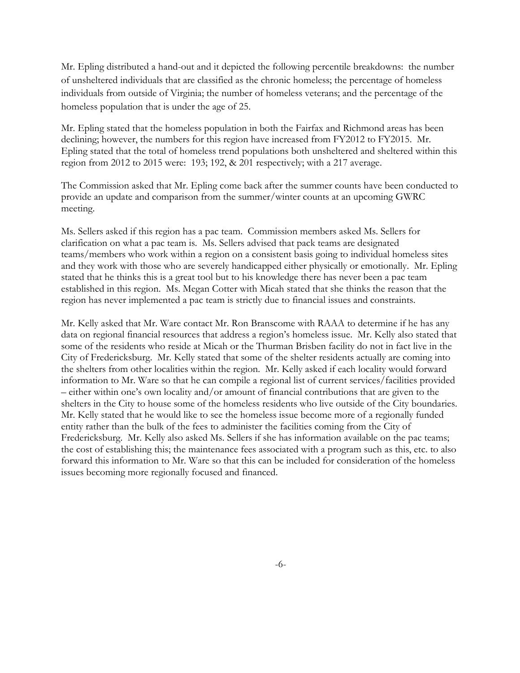Mr. Epling distributed a hand-out and it depicted the following percentile breakdowns: the number of unsheltered individuals that are classified as the chronic homeless; the percentage of homeless individuals from outside of Virginia; the number of homeless veterans; and the percentage of the homeless population that is under the age of 25.

Mr. Epling stated that the homeless population in both the Fairfax and Richmond areas has been declining; however, the numbers for this region have increased from FY2012 to FY2015. Mr. Epling stated that the total of homeless trend populations both unsheltered and sheltered within this region from 2012 to 2015 were: 193; 192, & 201 respectively; with a 217 average.

The Commission asked that Mr. Epling come back after the summer counts have been conducted to provide an update and comparison from the summer/winter counts at an upcoming GWRC meeting.

Ms. Sellers asked if this region has a pac team. Commission members asked Ms. Sellers for clarification on what a pac team is. Ms. Sellers advised that pack teams are designated teams/members who work within a region on a consistent basis going to individual homeless sites and they work with those who are severely handicapped either physically or emotionally. Mr. Epling stated that he thinks this is a great tool but to his knowledge there has never been a pac team established in this region. Ms. Megan Cotter with Micah stated that she thinks the reason that the region has never implemented a pac team is strictly due to financial issues and constraints.

Mr. Kelly asked that Mr. Ware contact Mr. Ron Branscome with RAAA to determine if he has any data on regional financial resources that address a region's homeless issue. Mr. Kelly also stated that some of the residents who reside at Micah or the Thurman Brisben facility do not in fact live in the City of Fredericksburg. Mr. Kelly stated that some of the shelter residents actually are coming into the shelters from other localities within the region. Mr. Kelly asked if each locality would forward information to Mr. Ware so that he can compile a regional list of current services/facilities provided – either within one's own locality and/or amount of financial contributions that are given to the shelters in the City to house some of the homeless residents who live outside of the City boundaries. Mr. Kelly stated that he would like to see the homeless issue become more of a regionally funded entity rather than the bulk of the fees to administer the facilities coming from the City of Fredericksburg. Mr. Kelly also asked Ms. Sellers if she has information available on the pac teams; the cost of establishing this; the maintenance fees associated with a program such as this, etc. to also forward this information to Mr. Ware so that this can be included for consideration of the homeless issues becoming more regionally focused and financed.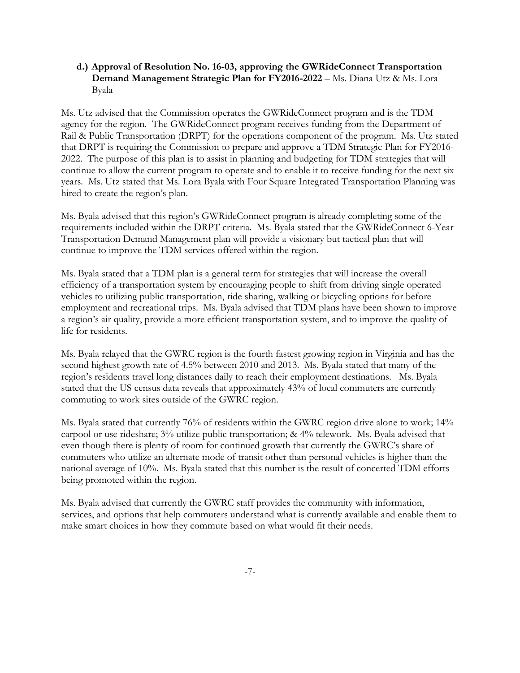#### **d.) Approval of Resolution No. 16-03, approving the GWRideConnect Transportation Demand Management Strategic Plan for FY2016-2022** – Ms. Diana Utz & Ms. Lora Byala

Ms. Utz advised that the Commission operates the GWRideConnect program and is the TDM agency for the region. The GWRideConnect program receives funding from the Department of Rail & Public Transportation (DRPT) for the operations component of the program. Ms. Utz stated that DRPT is requiring the Commission to prepare and approve a TDM Strategic Plan for FY2016- 2022. The purpose of this plan is to assist in planning and budgeting for TDM strategies that will continue to allow the current program to operate and to enable it to receive funding for the next six years. Ms. Utz stated that Ms. Lora Byala with Four Square Integrated Transportation Planning was hired to create the region's plan.

Ms. Byala advised that this region's GWRideConnect program is already completing some of the requirements included within the DRPT criteria. Ms. Byala stated that the GWRideConnect 6-Year Transportation Demand Management plan will provide a visionary but tactical plan that will continue to improve the TDM services offered within the region.

Ms. Byala stated that a TDM plan is a general term for strategies that will increase the overall efficiency of a transportation system by encouraging people to shift from driving single operated vehicles to utilizing public transportation, ride sharing, walking or bicycling options for before employment and recreational trips. Ms. Byala advised that TDM plans have been shown to improve a region's air quality, provide a more efficient transportation system, and to improve the quality of life for residents.

Ms. Byala relayed that the GWRC region is the fourth fastest growing region in Virginia and has the second highest growth rate of 4.5% between 2010 and 2013. Ms. Byala stated that many of the region's residents travel long distances daily to reach their employment destinations. Ms. Byala stated that the US census data reveals that approximately 43% of local commuters are currently commuting to work sites outside of the GWRC region.

Ms. Byala stated that currently 76% of residents within the GWRC region drive alone to work; 14% carpool or use rideshare; 3% utilize public transportation; & 4% telework. Ms. Byala advised that even though there is plenty of room for continued growth that currently the GWRC's share of commuters who utilize an alternate mode of transit other than personal vehicles is higher than the national average of 10%. Ms. Byala stated that this number is the result of concerted TDM efforts being promoted within the region.

Ms. Byala advised that currently the GWRC staff provides the community with information, services, and options that help commuters understand what is currently available and enable them to make smart choices in how they commute based on what would fit their needs.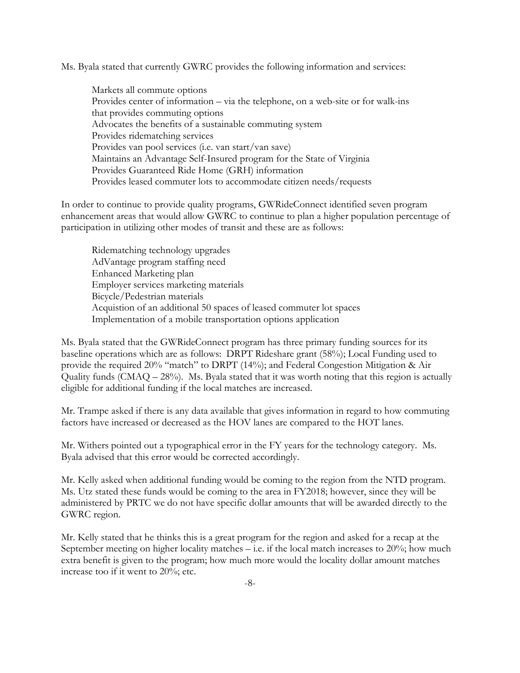Ms. Byala stated that currently GWRC provides the following information and services:

Markets all commute options Provides center of information – via the telephone, on a web-site or for walk-ins that provides commuting options Advocates the benefits of a sustainable commuting system Provides ridematching services Provides van pool services (i.e. van start/van save) Maintains an Advantage Self-Insured program for the State of Virginia Provides Guaranteed Ride Home (GRH) information Provides leased commuter lots to accommodate citizen needs/requests

In order to continue to provide quality programs, GWRideConnect identified seven program enhancement areas that would allow GWRC to continue to plan a higher population percentage of participation in utilizing other modes of transit and these are as follows:

Ridematching technology upgrades AdVantage program staffing need Enhanced Marketing plan Employer services marketing materials Bicycle/Pedestrian materials Acquistion of an additional 50 spaces of leased commuter lot spaces Implementation of a mobile transportation options application

Ms. Byala stated that the GWRideConnect program has three primary funding sources for its baseline operations which are as follows: DRPT Rideshare grant (58%); Local Funding used to provide the required 20% "match" to DRPT (14%); and Federal Congestion Mitigation & Air Quality funds  $(CMAQ – 28%)$ . Ms. Byala stated that it was worth noting that this region is actually eligible for additional funding if the local matches are increased.

Mr. Trampe asked if there is any data available that gives information in regard to how commuting factors have increased or decreased as the HOV lanes are compared to the HOT lanes.

Mr. Withers pointed out a typographical error in the FY years for the technology category. Ms. Byala advised that this error would be corrected accordingly.

Mr. Kelly asked when additional funding would be coming to the region from the NTD program. Ms. Utz stated these funds would be coming to the area in FY2018; however, since they will be administered by PRTC we do not have specific dollar amounts that will be awarded directly to the GWRC region.

Mr. Kelly stated that he thinks this is a great program for the region and asked for a recap at the September meeting on higher locality matches  $-$  i.e. if the local match increases to 20%; how much extra benefit is given to the program; how much more would the locality dollar amount matches increase too if it went to 20%; etc.